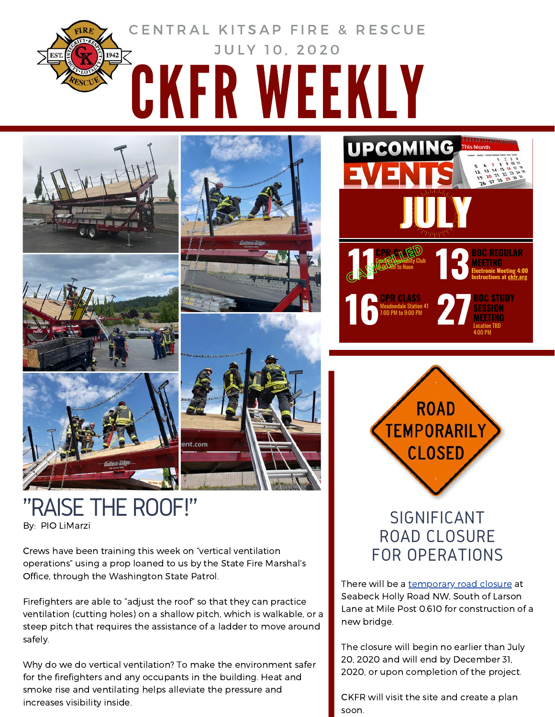



By: PIO LiMarzi "RAISE THE ROOF!" SIGNIFICANT

Crews have been training this week on "vertical ventilation operations" using a prop loaned to us by the State Fire Marshal's Office, through the Washington State Patrol.

Firefighters are able to "adjust the roof" so that they can practice ventilation (cutting holes) on a shallow pitch, which is walkable, or a steep pitch that requires the assistance of a ladder to move around safely.

Why do we do vertical ventilation? To make the environment safer for the firefighters and any occupants in the building. Heat and smoke rise and ventilating helps alleviate the pressure and increases visibility inside.





## ROAD CLOSURE FOR OPERATIONS

There will be a [temporary](https://ckfr.sharepoint.com/intranet/training/Documents/Forms/AllItems.aspx?id=%2Fintranet%2Ftraining%2FDocuments%2FCKFR%20Weekly%20PDFs%2F2020%2FJuly%2010%20%2D%20Significant%20Road%20Closure%20for%20Operations%2Epdf&parent=%2Fintranet%2Ftraining%2FDocuments%2FCKFR%20Weekly%20PDFs%2F2020) road closure at Seabeck Holly Road NW, South of Larson Lane at Mile Post 0.610 for construction of a new bridge.

The closure will begin no earlier than July 20, 2020 and will end by December 31, 2020, or upon completion of the project.

CKFR will visit the site and create a plan soon.